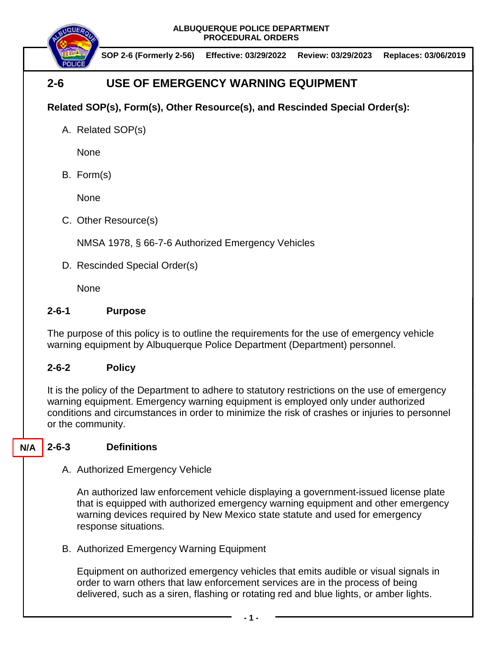**ALBUQUERQUE POLICE DEPARTMENT PROCEDURAL ORDERS**



**SOP 2-6 (Formerly 2-56) Effective: 03/29/2022 Review: 03/29/2023 Replaces: 03/06/2019**

# **2-6 USE OF EMERGENCY WARNING EQUIPMENT**

## **Related SOP(s), Form(s), Other Resource(s), and Rescinded Special Order(s):**

A. Related SOP(s)

None

B. Form(s)

None

C. Other Resource(s)

NMSA 1978, § 66-7-6 Authorized Emergency Vehicles

D. Rescinded Special Order(s)

None

### **2-6-1 Purpose**

The purpose of this policy is to outline the requirements for the use of emergency vehicle warning equipment by Albuquerque Police Department (Department) personnel.

### **2-6-2 Policy**

It is the policy of the Department to adhere to statutory restrictions on the use of emergency warning equipment. Emergency warning equipment is employed only under authorized conditions and circumstances in order to minimize the risk of crashes or injuries to personnel or the community.

#### **2-6-3 Definitions N/A**

A. Authorized Emergency Vehicle

An authorized law enforcement vehicle displaying a government-issued license plate that is equipped with authorized emergency warning equipment and other emergency warning devices required by New Mexico state statute and used for emergency response situations.

B. Authorized Emergency Warning Equipment

Equipment on authorized emergency vehicles that emits audible or visual signals in order to warn others that law enforcement services are in the process of being delivered, such as a siren, flashing or rotating red and blue lights, or amber lights.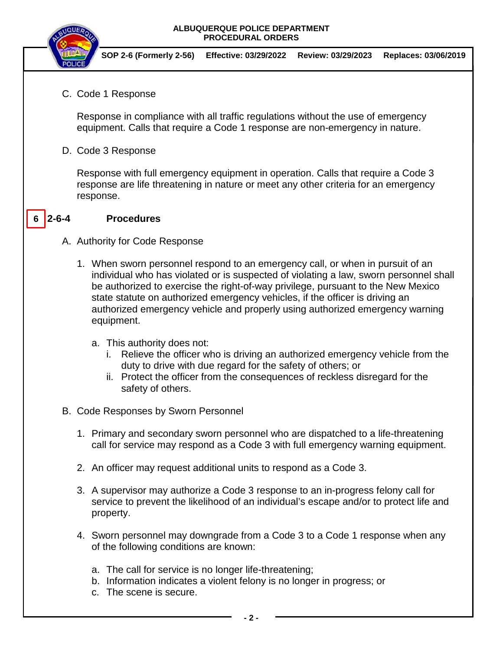### **ALBUQUERQUE POLICE DEPARTMENT PROCEDURAL ORDERS**



**SOP 2-6 (Formerly 2-56) Effective: 03/29/2022 Review: 03/29/2023 Replaces: 03/06/2019**

C. Code 1 Response

Response in compliance with all traffic regulations without the use of emergency equipment. Calls that require a Code 1 response are non-emergency in nature.

D. Code 3 Response

Response with full emergency equipment in operation. Calls that require a Code 3 response are life threatening in nature or meet any other criteria for an emergency response.

#### **2-6-4 Procedures 6**

### A. Authority for Code Response

- 1. When sworn personnel respond to an emergency call, or when in pursuit of an individual who has violated or is suspected of violating a law, sworn personnel shall be authorized to exercise the right-of-way privilege, pursuant to the New Mexico state statute on authorized emergency vehicles, if the officer is driving an authorized emergency vehicle and properly using authorized emergency warning equipment.
	- a. This authority does not:
		- i. Relieve the officer who is driving an authorized emergency vehicle from the duty to drive with due regard for the safety of others; or
		- ii. Protect the officer from the consequences of reckless disregard for the safety of others.
- B. Code Responses by Sworn Personnel
	- 1. Primary and secondary sworn personnel who are dispatched to a life-threatening call for service may respond as a Code 3 with full emergency warning equipment.
	- 2. An officer may request additional units to respond as a Code 3.
	- 3. A supervisor may authorize a Code 3 response to an in-progress felony call for service to prevent the likelihood of an individual's escape and/or to protect life and property.
	- 4. Sworn personnel may downgrade from a Code 3 to a Code 1 response when any of the following conditions are known:
		- a. The call for service is no longer life-threatening;
		- b. Information indicates a violent felony is no longer in progress; or
		- c. The scene is secure.